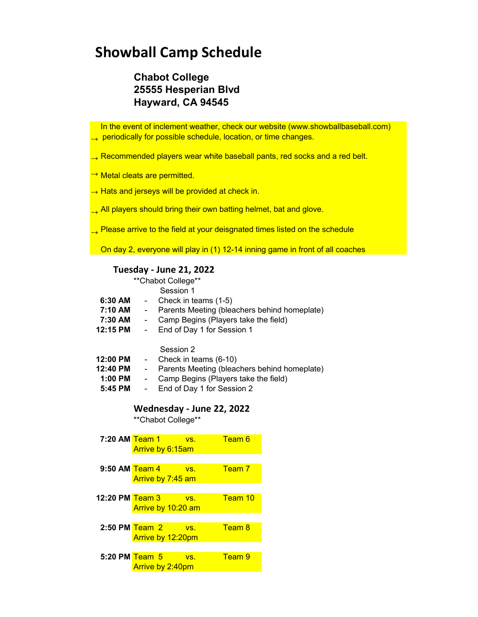## **Showball Camp Schedule**

### **Chabot College 25555 Hesperian Blvd Hayward, CA 94545**

 In the event of inclement weather, check our website (www.showballbaseball.com)  $\rightarrow$  periodically for possible schedule, location, or time changes.

- $\rightarrow$  Recommended players wear white baseball pants, red socks and a red belt.
- → Metal cleats are permitted.
- → Hats and jerseys will be provided at check in.
- All players should bring their own batting helmet, bat and glove.
- $\rightarrow$  Please arrive to the field at your deisgnated times listed on the schedule

On day 2, everyone will play in (1) 12-14 inning game in front of all coaches

#### **Tuesday - June 21, 2022**

|                                              | **Chabot College**                                                                                                                                                                                                             |
|----------------------------------------------|--------------------------------------------------------------------------------------------------------------------------------------------------------------------------------------------------------------------------------|
|                                              | Session 1                                                                                                                                                                                                                      |
| 6:30 AM                                      | Check in teams (1-5)<br>$\sim$                                                                                                                                                                                                 |
| 7:10 AM                                      | Parents Meeting (bleachers behind homeplate)<br>$\overline{\phantom{a}}$                                                                                                                                                       |
| 7:30 AM                                      | Camp Begins (Players take the field)<br>$\blacksquare$                                                                                                                                                                         |
| 12:15 PM                                     | End of Day 1 for Session 1                                                                                                                                                                                                     |
| 12:00 PM<br>12:40 PM<br>$1:00$ PM<br>5:45 PM | Session 2<br>Check in teams (6-10)<br>$\sim 100$<br>Parents Meeting (bleachers behind homeplate)<br>$\overline{\phantom{a}}$<br>Camp Begins (Players take the field)<br>$\blacksquare$<br>End of Day 1 for Session 2<br>$\sim$ |
|                                              | Wednesday - June 22, 2022                                                                                                                                                                                                      |
|                                              |                                                                                                                                                                                                                                |

\*Chabot College

| 7:20 AM Team 1     | Arrive by 6:15am        | VS.                | Team 6            |
|--------------------|-------------------------|--------------------|-------------------|
|                    |                         |                    |                   |
| 9:50 AM Team 4     |                         | VS.                | Team <sub>7</sub> |
|                    | Arrive by 7:45 am       |                    |                   |
|                    |                         |                    |                   |
| 12:20 PM Team 3    |                         | VS.                | Team 10           |
|                    |                         | Arrive by 10:20 am |                   |
|                    |                         |                    |                   |
| $2:50$ PM Team $2$ |                         | $V$ S.             | Team 8            |
|                    | Arrive by 12:20pm       |                    |                   |
|                    |                         |                    |                   |
| 5:20 PM Team 5     |                         | VS.                | Team 9            |
|                    | <b>Arrive by 2:40pm</b> |                    |                   |